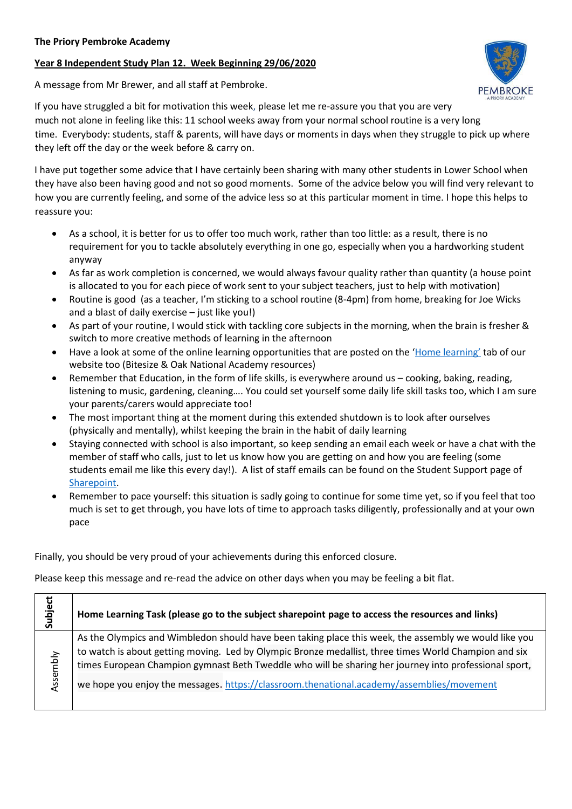## **Year 8 Independent Study Plan 12. Week Beginning 29/06/2020**

A message from Mr Brewer, and all staff at Pembroke.



If you have struggled a bit for motivation this week, please let me re-assure you that you are very much not alone in feeling like this: 11 school weeks away from your normal school routine is a very long time. Everybody: students, staff & parents, will have days or moments in days when they struggle to pick up where they left off the day or the week before & carry on.

I have put together some advice that I have certainly been sharing with many other students in Lower School when they have also been having good and not so good moments. Some of the advice below you will find very relevant to how you are currently feeling, and some of the advice less so at this particular moment in time. I hope this helps to reassure you:

- As a school, it is better for us to offer too much work, rather than too little: as a result, there is no requirement for you to tackle absolutely everything in one go, especially when you a hardworking student anyway
- As far as work completion is concerned, we would always favour quality rather than quantity (a house point is allocated to you for each piece of work sent to your subject teachers, just to help with motivation)
- Routine is good (as a teacher, I'm sticking to a school routine (8-4pm) from home, breaking for Joe Wicks and a blast of daily exercise – just like you!)
- As part of your routine, I would stick with tackling core subjects in the morning, when the brain is fresher & switch to more creative methods of learning in the afternoon
- Have a look at some of the online learning opportunities that are posted on the ['Home learning'](https://www.priorypembroke.co.uk/page/?title=Home+Learning&pid=134) tab of our website too (Bitesize & Oak National Academy resources)
- Remember that Education, in the form of life skills, is everywhere around us cooking, baking, reading, listening to music, gardening, cleaning…. You could set yourself some daily life skill tasks too, which I am sure your parents/carers would appreciate too!
- The most important thing at the moment during this extended shutdown is to look after ourselves (physically and mentally), whilst keeping the brain in the habit of daily learning
- Staying connected with school is also important, so keep sending an email each week or have a chat with the member of staff who calls, just to let us know how you are getting on and how you are feeling (some students email me like this every day!). A list of staff emails can be found on the Student Support page of [Sharepoint.](https://sharepoint.prioryacademies.co.uk/sites/studentsupport/pemstudent/Shared%20Documents/A%20list%20of%20Pembroke%20teaching%20staff%20emails.docx?Web=1)
- Remember to pace yourself: this situation is sadly going to continue for some time yet, so if you feel that too much is set to get through, you have lots of time to approach tasks diligently, professionally and at your own pace

Finally, you should be very proud of your achievements during this enforced closure.

Please keep this message and re-read the advice on other days when you may be feeling a bit flat.

| Subject  | Home Learning Task (please go to the subject sharepoint page to access the resources and links)                                                                                                                |
|----------|----------------------------------------------------------------------------------------------------------------------------------------------------------------------------------------------------------------|
| Assembly | As the Olympics and Wimbledon should have been taking place this week, the assembly we would like you<br>to watch is about getting moving. Led by Olympic Bronze medallist, three times World Champion and six |
|          | times European Champion gymnast Beth Tweddle who will be sharing her journey into professional sport,<br>we hope you enjoy the messages. https://classroom.thenational.academy/assemblies/movement             |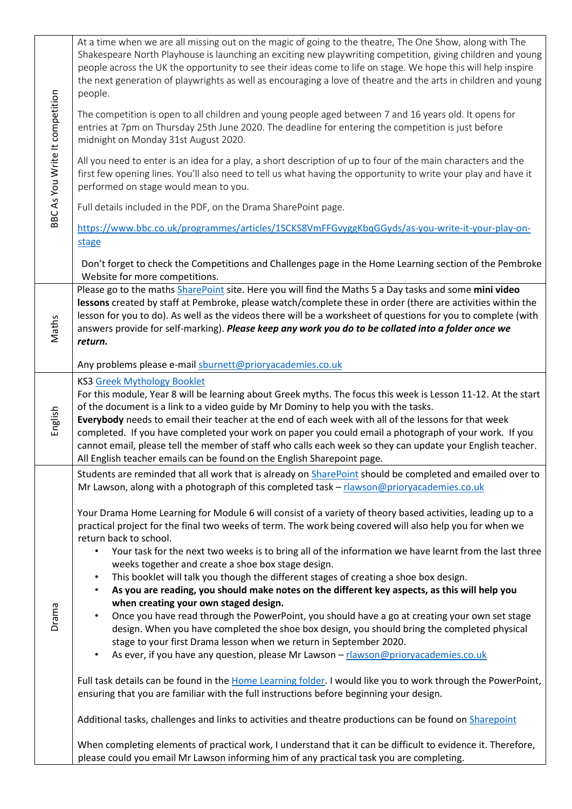| BBC As You Write It competition | At a time when we are all missing out on the magic of going to the theatre, The One Show, along with The<br>Shakespeare North Playhouse is launching an exciting new playwriting competition, giving children and young<br>people across the UK the opportunity to see their ideas come to life on stage. We hope this will help inspire<br>the next generation of playwrights as well as encouraging a love of theatre and the arts in children and young<br>people.<br>The competition is open to all children and young people aged between 7 and 16 years old. It opens for<br>entries at 7pm on Thursday 25th June 2020. The deadline for entering the competition is just before<br>midnight on Monday 31st August 2020.<br>All you need to enter is an idea for a play, a short description of up to four of the main characters and the<br>first few opening lines. You'll also need to tell us what having the opportunity to write your play and have it<br>performed on stage would mean to you.<br>Full details included in the PDF, on the Drama SharePoint page.<br>https://www.bbc.co.uk/programmes/articles/1SCKS8VmFFGvyggKbqGGyds/as-you-write-it-your-play-on-<br>stage<br>Don't forget to check the Competitions and Challenges page in the Home Learning section of the Pembroke<br>Website for more competitions.                                                                                                                                                                                                                                                                                                                                                                                                                                                                                                 |
|---------------------------------|-----------------------------------------------------------------------------------------------------------------------------------------------------------------------------------------------------------------------------------------------------------------------------------------------------------------------------------------------------------------------------------------------------------------------------------------------------------------------------------------------------------------------------------------------------------------------------------------------------------------------------------------------------------------------------------------------------------------------------------------------------------------------------------------------------------------------------------------------------------------------------------------------------------------------------------------------------------------------------------------------------------------------------------------------------------------------------------------------------------------------------------------------------------------------------------------------------------------------------------------------------------------------------------------------------------------------------------------------------------------------------------------------------------------------------------------------------------------------------------------------------------------------------------------------------------------------------------------------------------------------------------------------------------------------------------------------------------------------------------------------------------------------------------------------------------------------------------------|
| Maths                           | Please go to the maths <b>SharePoint</b> site. Here you will find the Maths 5 a Day tasks and some mini video<br>lessons created by staff at Pembroke, please watch/complete these in order (there are activities within the<br>lesson for you to do). As well as the videos there will be a worksheet of questions for you to complete (with<br>answers provide for self-marking). Please keep any work you do to be collated into a folder once we<br>return.                                                                                                                                                                                                                                                                                                                                                                                                                                                                                                                                                                                                                                                                                                                                                                                                                                                                                                                                                                                                                                                                                                                                                                                                                                                                                                                                                                         |
|                                 | Any problems please e-mail sburnett@prioryacademies.co.uk                                                                                                                                                                                                                                                                                                                                                                                                                                                                                                                                                                                                                                                                                                                                                                                                                                                                                                                                                                                                                                                                                                                                                                                                                                                                                                                                                                                                                                                                                                                                                                                                                                                                                                                                                                               |
| English                         | <b>KS3 Greek Mythology Booklet</b><br>For this module, Year 8 will be learning about Greek myths. The focus this week is Lesson 11-12. At the start<br>of the document is a link to a video guide by Mr Dominy to help you with the tasks.<br>Everybody needs to email their teacher at the end of each week with all of the lessons for that week<br>completed. If you have completed your work on paper you could email a photograph of your work. If you<br>cannot email, please tell the member of staff who calls each week so they can update your English teacher.<br>All English teacher emails can be found on the English Sharepoint page.                                                                                                                                                                                                                                                                                                                                                                                                                                                                                                                                                                                                                                                                                                                                                                                                                                                                                                                                                                                                                                                                                                                                                                                    |
| Drama                           | Students are reminded that all work that is already on SharePoint should be completed and emailed over to<br>Mr Lawson, along with a photograph of this completed task - rlawson@prioryacademies.co.uk<br>Your Drama Home Learning for Module 6 will consist of a variety of theory based activities, leading up to a<br>practical project for the final two weeks of term. The work being covered will also help you for when we<br>return back to school.<br>Your task for the next two weeks is to bring all of the information we have learnt from the last three<br>$\bullet$<br>weeks together and create a shoe box stage design.<br>This booklet will talk you though the different stages of creating a shoe box design.<br>$\bullet$<br>As you are reading, you should make notes on the different key aspects, as this will help you<br>$\bullet$<br>when creating your own staged design.<br>Once you have read through the PowerPoint, you should have a go at creating your own set stage<br>$\bullet$<br>design. When you have completed the shoe box design, you should bring the completed physical<br>stage to your first Drama lesson when we return in September 2020.<br>As ever, if you have any question, please Mr Lawson - rlawson@prioryacademies.co.uk<br>$\bullet$<br>Full task details can be found in the Home Learning folder. I would like you to work through the PowerPoint,<br>ensuring that you are familiar with the full instructions before beginning your design.<br>Additional tasks, challenges and links to activities and theatre productions can be found on <i>Sharepoint</i><br>When completing elements of practical work, I understand that it can be difficult to evidence it. Therefore,<br>please could you email Mr Lawson informing him of any practical task you are completing. |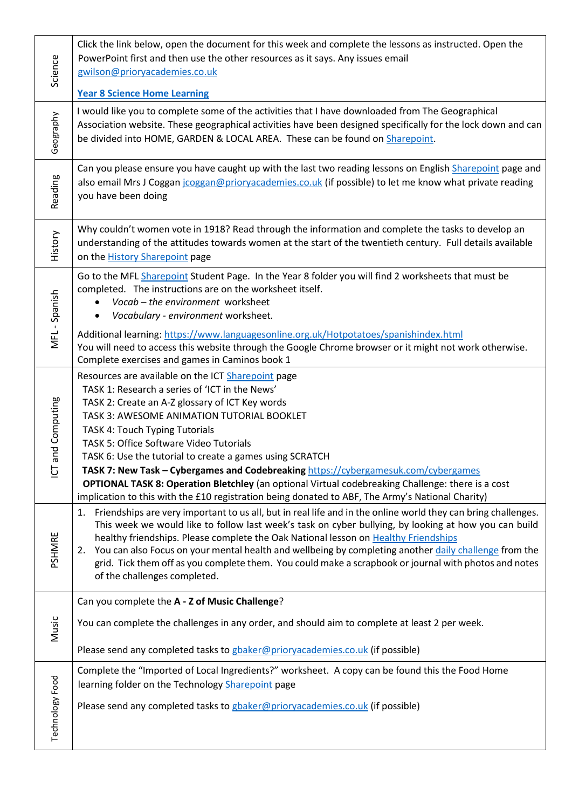| Science                              | Click the link below, open the document for this week and complete the lessons as instructed. Open the<br>PowerPoint first and then use the other resources as it says. Any issues email<br>gwilson@prioryacademies.co.uk<br><b>Year 8 Science Home Learning</b>                                                                                                                                                                                                                                                                                                                                                                                            |
|--------------------------------------|-------------------------------------------------------------------------------------------------------------------------------------------------------------------------------------------------------------------------------------------------------------------------------------------------------------------------------------------------------------------------------------------------------------------------------------------------------------------------------------------------------------------------------------------------------------------------------------------------------------------------------------------------------------|
| Geography                            | I would like you to complete some of the activities that I have downloaded from The Geographical<br>Association website. These geographical activities have been designed specifically for the lock down and can<br>be divided into HOME, GARDEN & LOCAL AREA. These can be found on Sharepoint.                                                                                                                                                                                                                                                                                                                                                            |
| Reading                              | Can you please ensure you have caught up with the last two reading lessons on English Sharepoint page and<br>also email Mrs J Coggan jcoggan@prioryacademies.co.uk (if possible) to let me know what private reading<br>you have been doing                                                                                                                                                                                                                                                                                                                                                                                                                 |
| History                              | Why couldn't women vote in 1918? Read through the information and complete the tasks to develop an<br>understanding of the attitudes towards women at the start of the twentieth century. Full details available<br>on the <b>History Sharepoint</b> page                                                                                                                                                                                                                                                                                                                                                                                                   |
| MFL-Spanish                          | Go to the MFL Sharepoint Student Page. In the Year 8 folder you will find 2 worksheets that must be<br>completed. The instructions are on the worksheet itself.<br>Vocab - the environment worksheet<br>Vocabulary - environment worksheet.<br>$\bullet$<br>Additional learning: https://www.languagesonline.org.uk/Hotpotatoes/spanishindex.html                                                                                                                                                                                                                                                                                                           |
|                                      | You will need to access this website through the Google Chrome browser or it might not work otherwise.<br>Complete exercises and games in Caminos book 1                                                                                                                                                                                                                                                                                                                                                                                                                                                                                                    |
| and Computing<br>$\overline{\Omega}$ | Resources are available on the ICT Sharepoint page<br>TASK 1: Research a series of 'ICT in the News'<br>TASK 2: Create an A-Z glossary of ICT Key words<br>TASK 3: AWESOME ANIMATION TUTORIAL BOOKLET<br><b>TASK 4: Touch Typing Tutorials</b><br>TASK 5: Office Software Video Tutorials<br>TASK 6: Use the tutorial to create a games using SCRATCH<br>TASK 7: New Task - Cybergames and Codebreaking https://cybergamesuk.com/cybergames<br><b>OPTIONAL TASK 8: Operation Bletchley</b> (an optional Virtual codebreaking Challenge: there is a cost<br>implication to this with the £10 registration being donated to ABF, The Army's National Charity) |
| PSHMRE                               | Friendships are very important to us all, but in real life and in the online world they can bring challenges.<br>1.<br>This week we would like to follow last week's task on cyber bullying, by looking at how you can build<br>healthy friendships. Please complete the Oak National lesson on Healthy Friendships<br>You can also Focus on your mental health and wellbeing by completing another daily challenge from the<br>2.<br>grid. Tick them off as you complete them. You could make a scrapbook or journal with photos and notes<br>of the challenges completed.                                                                                 |
| Music                                | Can you complete the A - Z of Music Challenge?                                                                                                                                                                                                                                                                                                                                                                                                                                                                                                                                                                                                              |
|                                      | You can complete the challenges in any order, and should aim to complete at least 2 per week.<br>Please send any completed tasks to gbaker@prioryacademies.co.uk (if possible)                                                                                                                                                                                                                                                                                                                                                                                                                                                                              |
| Technology Food                      | Complete the "Imported of Local Ingredients?" worksheet. A copy can be found this the Food Home<br>learning folder on the Technology Sharepoint page<br>Please send any completed tasks to gbaker@prioryacademies.co.uk (if possible)                                                                                                                                                                                                                                                                                                                                                                                                                       |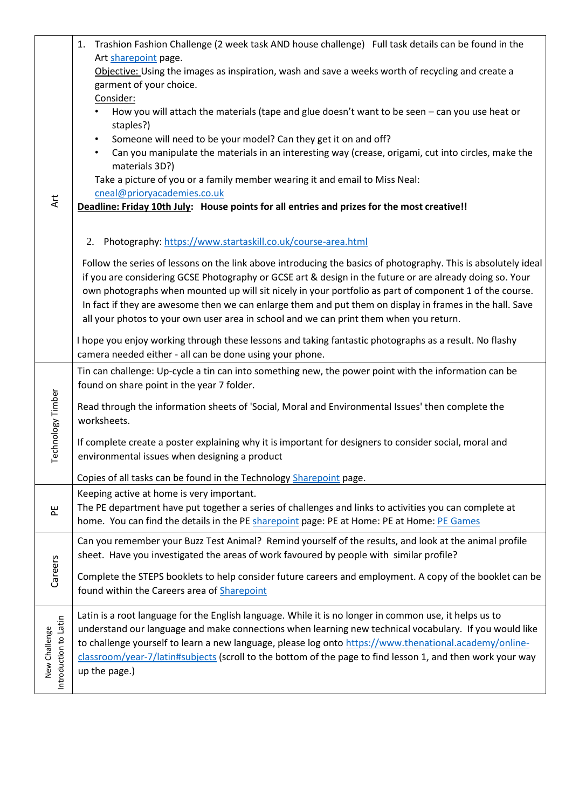| Art                                    | Trashion Fashion Challenge (2 week task AND house challenge) Full task details can be found in the<br>1.                                                                                                                                                                                                                                                                                                                                                                                                                                    |
|----------------------------------------|---------------------------------------------------------------------------------------------------------------------------------------------------------------------------------------------------------------------------------------------------------------------------------------------------------------------------------------------------------------------------------------------------------------------------------------------------------------------------------------------------------------------------------------------|
|                                        | Art sharepoint page.<br>Objective: Using the images as inspiration, wash and save a weeks worth of recycling and create a                                                                                                                                                                                                                                                                                                                                                                                                                   |
|                                        | garment of your choice.                                                                                                                                                                                                                                                                                                                                                                                                                                                                                                                     |
|                                        | Consider:                                                                                                                                                                                                                                                                                                                                                                                                                                                                                                                                   |
|                                        | How you will attach the materials (tape and glue doesn't want to be seen - can you use heat or<br>staples?)                                                                                                                                                                                                                                                                                                                                                                                                                                 |
|                                        | Someone will need to be your model? Can they get it on and off?<br>$\bullet$                                                                                                                                                                                                                                                                                                                                                                                                                                                                |
|                                        | Can you manipulate the materials in an interesting way (crease, origami, cut into circles, make the<br>$\bullet$<br>materials 3D?)                                                                                                                                                                                                                                                                                                                                                                                                          |
|                                        | Take a picture of you or a family member wearing it and email to Miss Neal:                                                                                                                                                                                                                                                                                                                                                                                                                                                                 |
|                                        | cneal@prioryacademies.co.uk<br>Deadline: Friday 10th July: House points for all entries and prizes for the most creative!!                                                                                                                                                                                                                                                                                                                                                                                                                  |
|                                        |                                                                                                                                                                                                                                                                                                                                                                                                                                                                                                                                             |
|                                        | Photography: https://www.startaskill.co.uk/course-area.html<br>2.                                                                                                                                                                                                                                                                                                                                                                                                                                                                           |
|                                        | Follow the series of lessons on the link above introducing the basics of photography. This is absolutely ideal<br>if you are considering GCSE Photography or GCSE art & design in the future or are already doing so. Your<br>own photographs when mounted up will sit nicely in your portfolio as part of component 1 of the course.<br>In fact if they are awesome then we can enlarge them and put them on display in frames in the hall. Save<br>all your photos to your own user area in school and we can print them when you return. |
|                                        | I hope you enjoy working through these lessons and taking fantastic photographs as a result. No flashy<br>camera needed either - all can be done using your phone.                                                                                                                                                                                                                                                                                                                                                                          |
|                                        | Tin can challenge: Up-cycle a tin can into something new, the power point with the information can be<br>found on share point in the year 7 folder.                                                                                                                                                                                                                                                                                                                                                                                         |
| Technology Timber                      | Read through the information sheets of 'Social, Moral and Environmental Issues' then complete the<br>worksheets.                                                                                                                                                                                                                                                                                                                                                                                                                            |
|                                        | If complete create a poster explaining why it is important for designers to consider social, moral and<br>environmental issues when designing a product                                                                                                                                                                                                                                                                                                                                                                                     |
|                                        | Copies of all tasks can be found in the Technology Sharepoint page.                                                                                                                                                                                                                                                                                                                                                                                                                                                                         |
|                                        | Keeping active at home is very important.                                                                                                                                                                                                                                                                                                                                                                                                                                                                                                   |
| 뵌                                      | The PE department have put together a series of challenges and links to activities you can complete at<br>home. You can find the details in the PE sharepoint page: PE at Home: PE at Home: PE Games                                                                                                                                                                                                                                                                                                                                        |
| Careers                                | Can you remember your Buzz Test Animal? Remind yourself of the results, and look at the animal profile<br>sheet. Have you investigated the areas of work favoured by people with similar profile?                                                                                                                                                                                                                                                                                                                                           |
|                                        | Complete the STEPS booklets to help consider future careers and employment. A copy of the booklet can be                                                                                                                                                                                                                                                                                                                                                                                                                                    |
|                                        | found within the Careers area of Sharepoint                                                                                                                                                                                                                                                                                                                                                                                                                                                                                                 |
| Introduction to Latin<br>New Challenge | Latin is a root language for the English language. While it is no longer in common use, it helps us to<br>understand our language and make connections when learning new technical vocabulary. If you would like                                                                                                                                                                                                                                                                                                                            |
|                                        | to challenge yourself to learn a new language, please log onto https://www.thenational.academy/online-<br>classroom/year-7/latin#subjects (scroll to the bottom of the page to find lesson 1, and then work your way<br>up the page.)                                                                                                                                                                                                                                                                                                       |
|                                        |                                                                                                                                                                                                                                                                                                                                                                                                                                                                                                                                             |